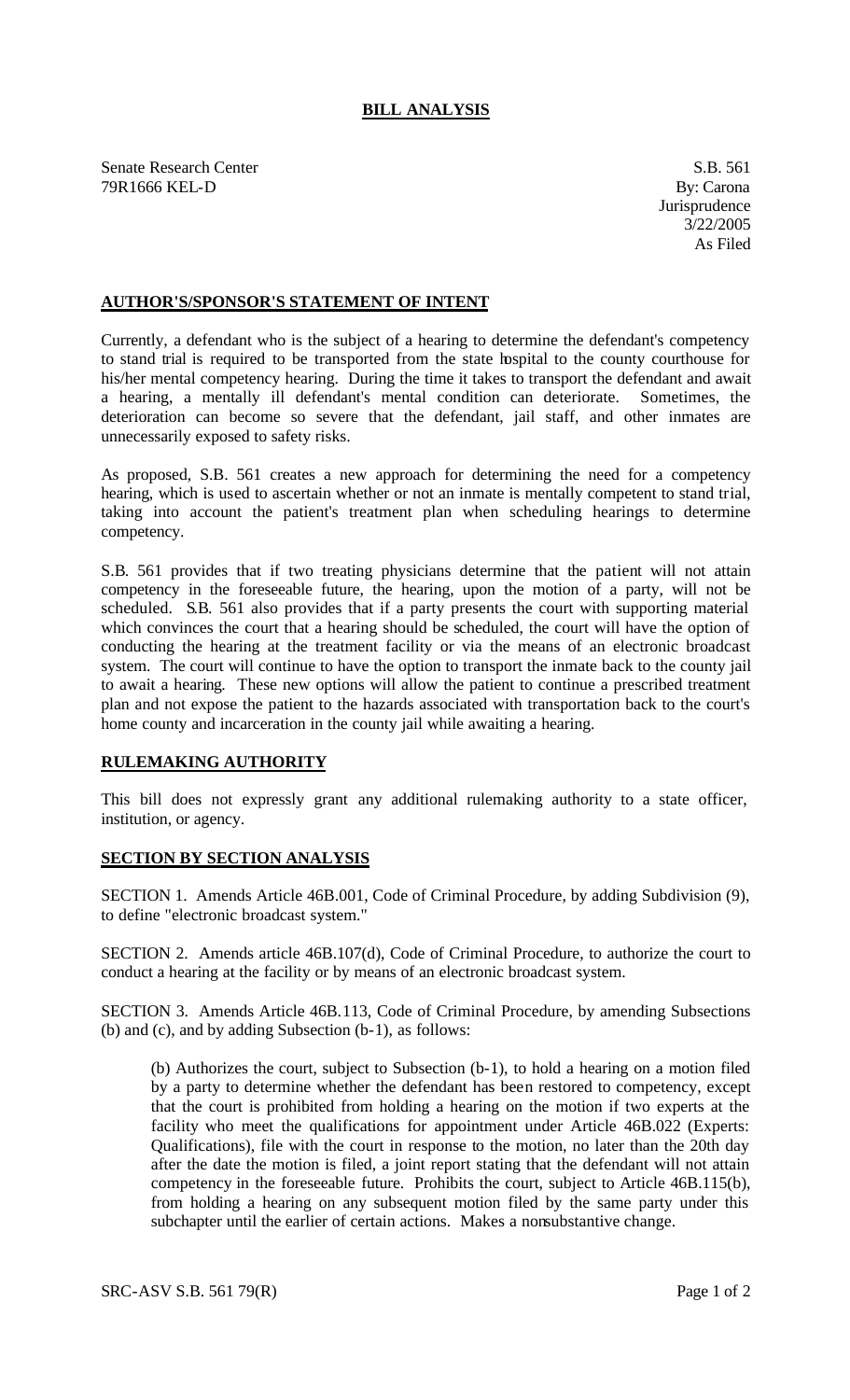## **BILL ANALYSIS**

Senate Research Center S.B. 561 79R1666 KEL-D By: Carona

## **AUTHOR'S/SPONSOR'S STATEMENT OF INTENT**

Currently, a defendant who is the subject of a hearing to determine the defendant's competency to stand trial is required to be transported from the state hospital to the county courthouse for his/her mental competency hearing. During the time it takes to transport the defendant and await a hearing, a mentally ill defendant's mental condition can deteriorate. Sometimes, the deterioration can become so severe that the defendant, jail staff, and other inmates are unnecessarily exposed to safety risks.

As proposed, S.B. 561 creates a new approach for determining the need for a competency hearing, which is used to ascertain whether or not an inmate is mentally competent to stand trial, taking into account the patient's treatment plan when scheduling hearings to determine competency.

S.B. 561 provides that if two treating physicians determine that the patient will not attain competency in the foreseeable future, the hearing, upon the motion of a party, will not be scheduled. S.B. 561 also provides that if a party presents the court with supporting material which convinces the court that a hearing should be scheduled, the court will have the option of conducting the hearing at the treatment facility or via the means of an electronic broadcast system. The court will continue to have the option to transport the inmate back to the county jail to await a hearing. These new options will allow the patient to continue a prescribed treatment plan and not expose the patient to the hazards associated with transportation back to the court's home county and incarceration in the county jail while awaiting a hearing.

## **RULEMAKING AUTHORITY**

This bill does not expressly grant any additional rulemaking authority to a state officer, institution, or agency.

## **SECTION BY SECTION ANALYSIS**

SECTION 1. Amends Article 46B.001, Code of Criminal Procedure, by adding Subdivision (9), to define "electronic broadcast system."

SECTION 2. Amends article 46B.107(d), Code of Criminal Procedure, to authorize the court to conduct a hearing at the facility or by means of an electronic broadcast system.

SECTION 3. Amends Article 46B.113, Code of Criminal Procedure, by amending Subsections (b) and (c), and by adding Subsection (b-1), as follows:

(b) Authorizes the court, subject to Subsection (b-1), to hold a hearing on a motion filed by a party to determine whether the defendant has been restored to competency, except that the court is prohibited from holding a hearing on the motion if two experts at the facility who meet the qualifications for appointment under Article 46B.022 (Experts: Qualifications), file with the court in response to the motion, no later than the 20th day after the date the motion is filed, a joint report stating that the defendant will not attain competency in the foreseeable future. Prohibits the court, subject to Article 46B.115(b), from holding a hearing on any subsequent motion filed by the same party under this subchapter until the earlier of certain actions. Makes a nonsubstantive change.